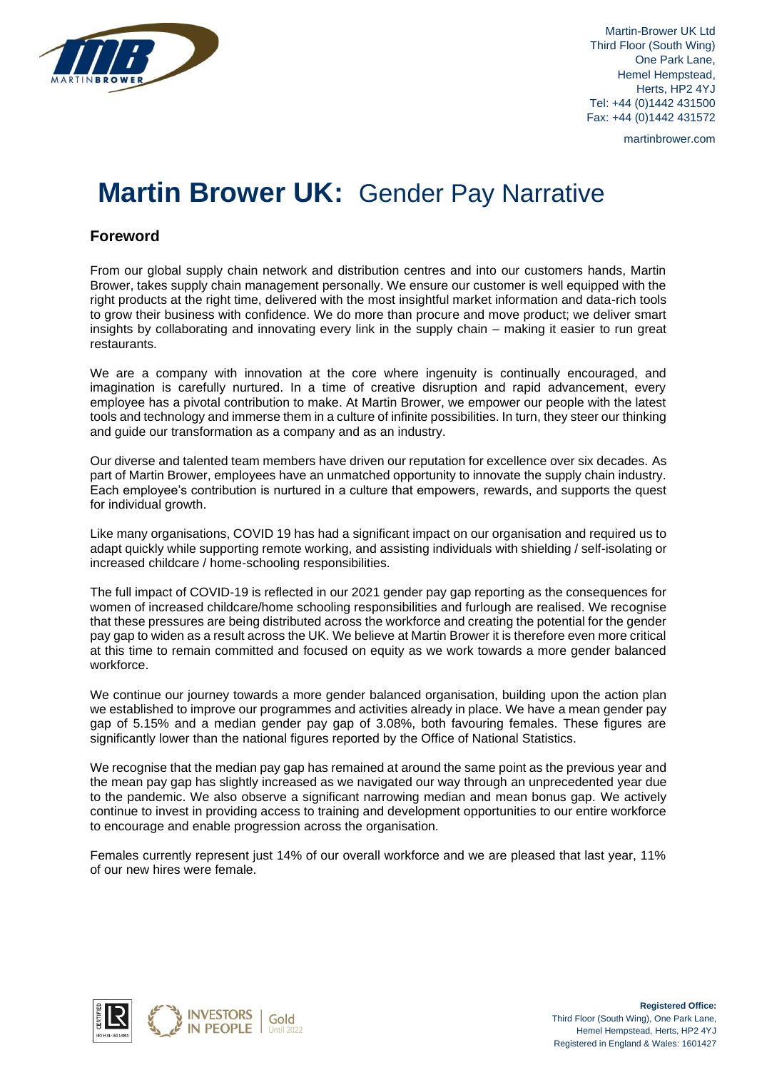

Martin-Brower UK Ltd Third Floor (South Wing) One Park Lane, Hemel Hempstead, Herts, HP2 4YJ Tel: +44 (0)1442 431500 Fax: +44 (0)1442 431572

martinbrower.com

# **Martin Brower UK:** Gender Pay Narrative

## **Foreword**

From our global supply chain network and distribution centres and into our customers hands, Martin Brower, takes supply chain management personally. We ensure our customer is well equipped with the right products at the right time, delivered with the most insightful market information and data-rich tools to grow their business with confidence. We do more than procure and move product; we deliver smart insights by collaborating and innovating every link in the supply chain – making it easier to run great restaurants.

We are a company with innovation at the core where ingenuity is continually encouraged, and imagination is carefully nurtured. In a time of creative disruption and rapid advancement, every employee has a pivotal contribution to make. At Martin Brower, we empower our people with the latest tools and technology and immerse them in a culture of infinite possibilities. In turn, they steer our thinking and guide our transformation as a company and as an industry.

Our diverse and talented team members have driven our reputation for excellence over six decades. As part of Martin Brower, employees have an unmatched opportunity to innovate the supply chain industry. Each employee's contribution is nurtured in a culture that empowers, rewards, and supports the quest for individual growth.

Like many organisations, COVID 19 has had a significant impact on our organisation and required us to adapt quickly while supporting remote working, and assisting individuals with shielding / self-isolating or increased childcare / home-schooling responsibilities.

The full impact of COVID-19 is reflected in our 2021 gender pay gap reporting as the consequences for women of increased childcare/home schooling responsibilities and furlough are realised. We recognise that these pressures are being distributed across the workforce and creating the potential for the gender pay gap to widen as a result across the UK. We believe at Martin Brower it is therefore even more critical at this time to remain committed and focused on equity as we work towards a more gender balanced workforce.

We continue our journey towards a more gender balanced organisation, building upon the action plan we established to improve our programmes and activities already in place. We have a mean gender pay gap of 5.15% and a median gender pay gap of 3.08%, both favouring females. These figures are significantly lower than the national figures reported by the Office of National Statistics.

We recognise that the median pay gap has remained at around the same point as the previous year and the mean pay gap has slightly increased as we navigated our way through an unprecedented year due to the pandemic. We also observe a significant narrowing median and mean bonus gap. We actively continue to invest in providing access to training and development opportunities to our entire workforce to encourage and enable progression across the organisation.

Females currently represent just 14% of our overall workforce and we are pleased that last year, 11% of our new hires were female.

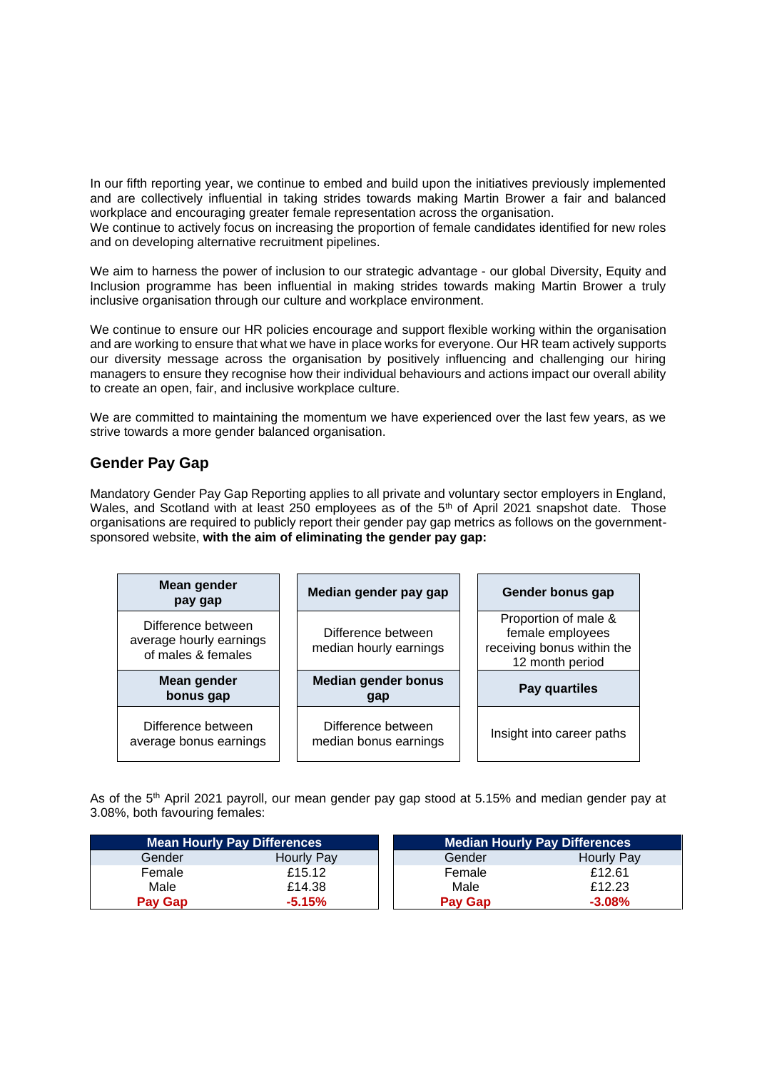In our fifth reporting year, we continue to embed and build upon the initiatives previously implemented and are collectively influential in taking strides towards making Martin Brower a fair and balanced workplace and encouraging greater female representation across the organisation. We continue to actively focus on increasing the proportion of female candidates identified for new roles and on developing alternative recruitment pipelines.

We aim to harness the power of inclusion to our strategic advantage - our global Diversity, Equity and Inclusion programme has been influential in making strides towards making Martin Brower a truly inclusive organisation through our culture and workplace environment.

We continue to ensure our HR policies encourage and support flexible working within the organisation and are working to ensure that what we have in place works for everyone. Our HR team actively supports our diversity message across the organisation by positively influencing and challenging our hiring managers to ensure they recognise how their individual behaviours and actions impact our overall ability to create an open, fair, and inclusive workplace culture.

We are committed to maintaining the momentum we have experienced over the last few years, as we strive towards a more gender balanced organisation.

### **Gender Pay Gap**

Mandatory Gender Pay Gap Reporting applies to all private and voluntary sector employers in England, Wales, and Scotland with at least 250 employees as of the 5<sup>th</sup> of April 2021 snapshot date. Those organisations are required to publicly report their gender pay gap metrics as follows on the governmentsponsored website, **with the aim of eliminating the gender pay gap:**

| Mean gender<br>pay gap                                              | Median gender pay gap                        | Gender bonus gap                                                                          |  |
|---------------------------------------------------------------------|----------------------------------------------|-------------------------------------------------------------------------------------------|--|
| Difference between<br>average hourly earnings<br>of males & females | Difference between<br>median hourly earnings | Proportion of male &<br>female employees<br>receiving bonus within the<br>12 month period |  |
| Mean gender<br>bonus gap                                            | <b>Median gender bonus</b><br>gap            | Pay quartiles                                                                             |  |
| Difference between<br>average bonus earnings                        | Difference between<br>median bonus earnings  | Insight into career paths                                                                 |  |

As of the 5<sup>th</sup> April 2021 payroll, our mean gender pay gap stood at 5.15% and median gender pay at 3.08%, both favouring females:

| <b>Mean Hourly Pay Differences</b> |            | <b>Median Hourly Pay Differences</b> |            |  |
|------------------------------------|------------|--------------------------------------|------------|--|
| Gender                             | Hourly Pay | Gender                               | Hourly Pay |  |
| Female                             | £15.12     | Female                               | £12.61     |  |
| Male                               | £14.38     | Male                                 | £12.23     |  |
| <b>Pay Gap</b>                     | $-5.15%$   | <b>Pay Gap</b>                       | $-3.08%$   |  |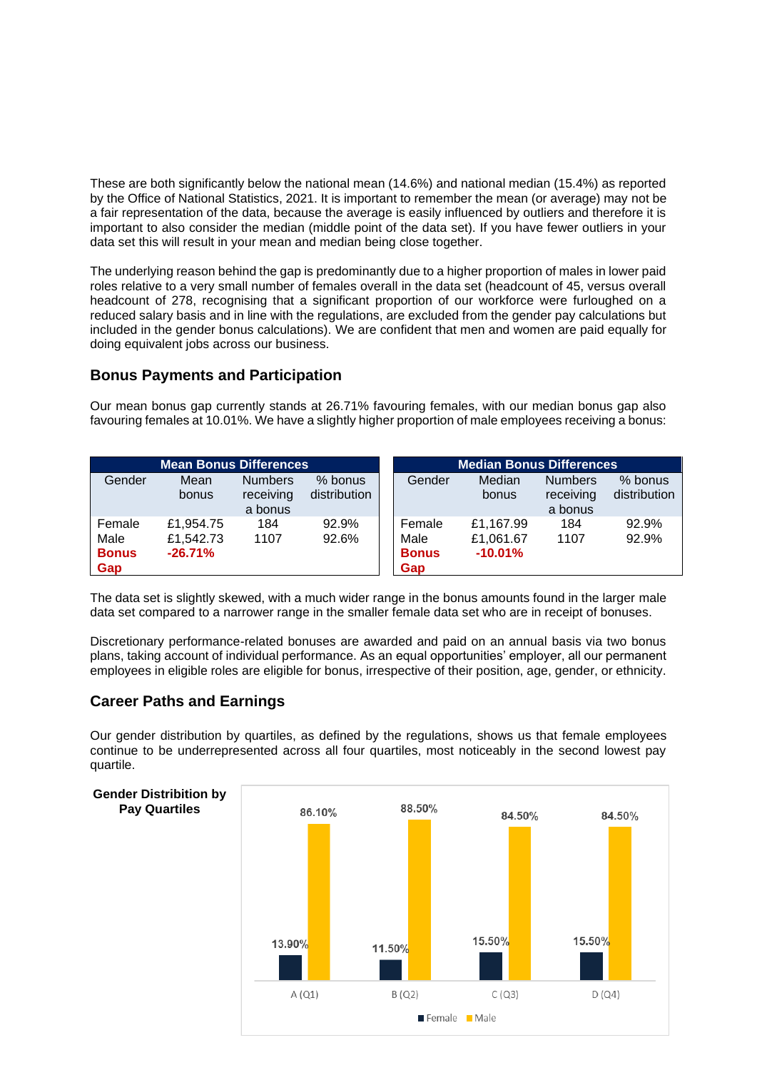These are both significantly below the national mean (14.6%) and national median (15.4%) as reported by the Office of National Statistics, 2021. It is important to remember the mean (or average) may not be a fair representation of the data, because the average is easily influenced by outliers and therefore it is important to also consider the median (middle point of the data set). If you have fewer outliers in your data set this will result in your mean and median being close together.

The underlying reason behind the gap is predominantly due to a higher proportion of males in lower paid roles relative to a very small number of females overall in the data set (headcount of 45, versus overall headcount of 278, recognising that a significant proportion of our workforce were furloughed on a reduced salary basis and in line with the regulations, are excluded from the gender pay calculations but included in the gender bonus calculations). We are confident that men and women are paid equally for doing equivalent jobs across our business.

## **Bonus Payments and Participation**

Our mean bonus gap currently stands at 26.71% favouring females, with our median bonus gap also favouring females at 10.01%. We have a slightly higher proportion of male employees receiving a bonus:

| <b>Mean Bonus Differences</b>         |                                     |                                        | <b>Median Bonus Differences</b> |                                       |                                     |                                        |                         |
|---------------------------------------|-------------------------------------|----------------------------------------|---------------------------------|---------------------------------------|-------------------------------------|----------------------------------------|-------------------------|
| Gender                                | Mean<br>bonus                       | <b>Numbers</b><br>receiving<br>a bonus | % bonus<br>distribution         | Gender                                | Median<br>bonus                     | <b>Numbers</b><br>receiving<br>a bonus | % bonus<br>distribution |
| Female<br>Male<br><b>Bonus</b><br>Gap | £1,954.75<br>£1,542.73<br>$-26.71%$ | 184<br>1107                            | 92.9%<br>92.6%                  | Female<br>Male<br><b>Bonus</b><br>Gap | £1,167.99<br>£1,061.67<br>$-10.01%$ | 184<br>1107                            | 92.9%<br>92.9%          |

The data set is slightly skewed, with a much wider range in the bonus amounts found in the larger male data set compared to a narrower range in the smaller female data set who are in receipt of bonuses.

Discretionary performance-related bonuses are awarded and paid on an annual basis via two bonus plans, taking account of individual performance. As an equal opportunities' employer, all our permanent employees in eligible roles are eligible for bonus, irrespective of their position, age, gender, or ethnicity.

## **Career Paths and Earnings**

**Pay Quartiles**

Our gender distribution by quartiles, as defined by the regulations, shows us that female employees continue to be underrepresented across all four quartiles, most noticeably in the second lowest pay quartile.

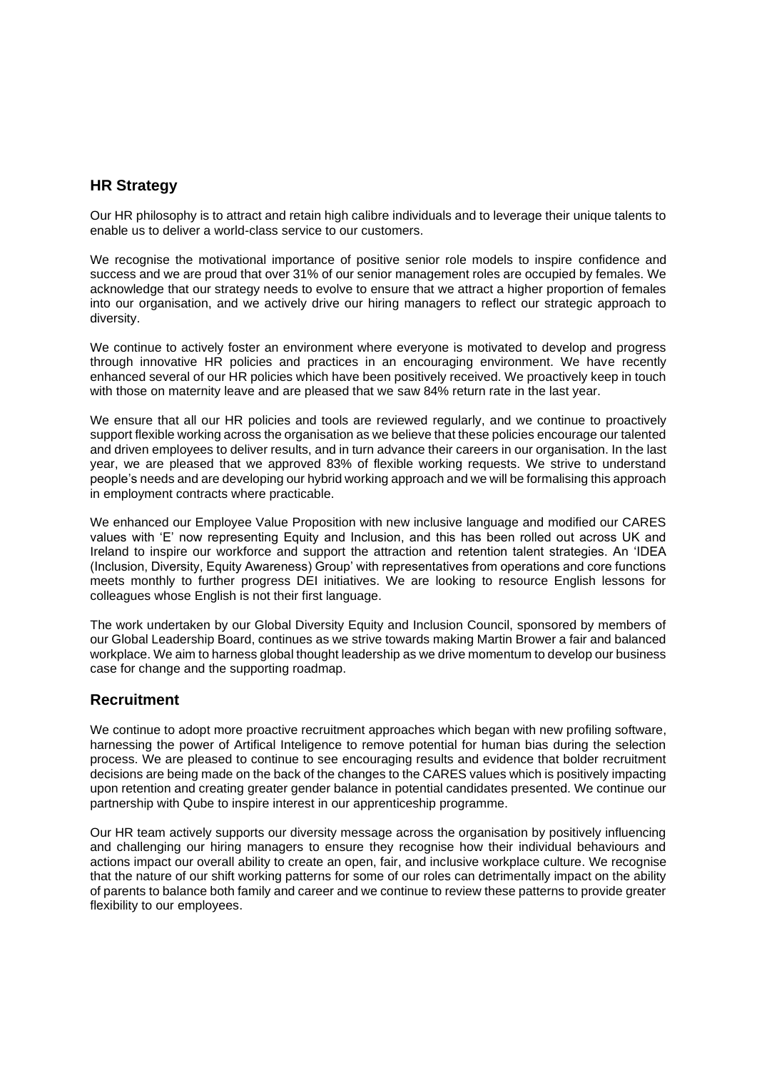#### **HR Strategy**

Our HR philosophy is to attract and retain high calibre individuals and to leverage their unique talents to enable us to deliver a world-class service to our customers.

We recognise the motivational importance of positive senior role models to inspire confidence and success and we are proud that over 31% of our senior management roles are occupied by females. We acknowledge that our strategy needs to evolve to ensure that we attract a higher proportion of females into our organisation, and we actively drive our hiring managers to reflect our strategic approach to diversity.

We continue to actively foster an environment where everyone is motivated to develop and progress through innovative HR policies and practices in an encouraging environment. We have recently enhanced several of our HR policies which have been positively received. We proactively keep in touch with those on maternity leave and are pleased that we saw 84% return rate in the last year.

We ensure that all our HR policies and tools are reviewed regularly, and we continue to proactively support flexible working across the organisation as we believe that these policies encourage our talented and driven employees to deliver results, and in turn advance their careers in our organisation. In the last year, we are pleased that we approved 83% of flexible working requests. We strive to understand people's needs and are developing our hybrid working approach and we will be formalising this approach in employment contracts where practicable.

We enhanced our Employee Value Proposition with new inclusive language and modified our CARES values with 'E' now representing Equity and Inclusion, and this has been rolled out across UK and Ireland to inspire our workforce and support the attraction and retention talent strategies. An 'IDEA (Inclusion, Diversity, Equity Awareness) Group' with representatives from operations and core functions meets monthly to further progress DEI initiatives. We are looking to resource English lessons for colleagues whose English is not their first language.

The work undertaken by our Global Diversity Equity and Inclusion Council, sponsored by members of our Global Leadership Board, continues as we strive towards making Martin Brower a fair and balanced workplace. We aim to harness global thought leadership as we drive momentum to develop our business case for change and the supporting roadmap.

#### **Recruitment**

We continue to adopt more proactive recruitment approaches which began with new profiling software, harnessing the power of Artifical Inteligence to remove potential for human bias during the selection process. We are pleased to continue to see encouraging results and evidence that bolder recruitment decisions are being made on the back of the changes to the CARES values which is positively impacting upon retention and creating greater gender balance in potential candidates presented. We continue our partnership with Qube to inspire interest in our apprenticeship programme.

Our HR team actively supports our diversity message across the organisation by positively influencing and challenging our hiring managers to ensure they recognise how their individual behaviours and actions impact our overall ability to create an open, fair, and inclusive workplace culture. We recognise that the nature of our shift working patterns for some of our roles can detrimentally impact on the ability of parents to balance both family and career and we continue to review these patterns to provide greater flexibility to our employees.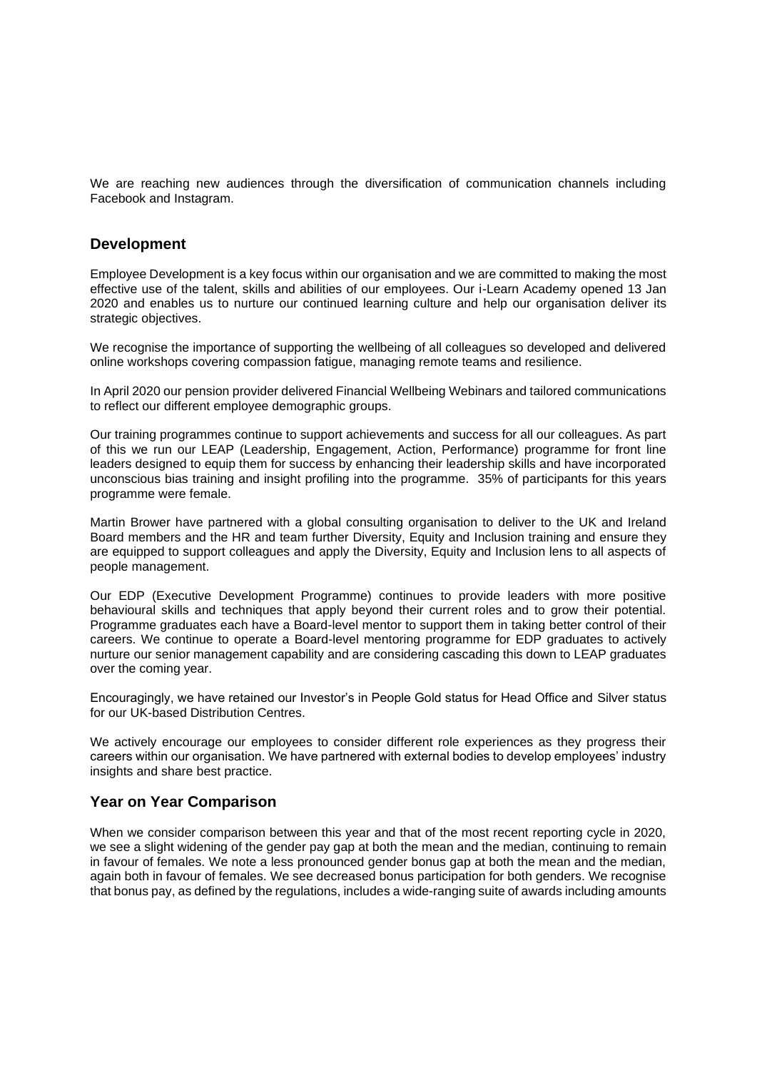We are reaching new audiences through the diversification of communication channels including Facebook and Instagram.

#### **Development**

Employee Development is a key focus within our organisation and we are committed to making the most effective use of the talent, skills and abilities of our employees. Our i-Learn Academy opened 13 Jan 2020 and enables us to nurture our continued learning culture and help our organisation deliver its strategic objectives.

We recognise the importance of supporting the wellbeing of all colleagues so developed and delivered online workshops covering compassion fatigue, managing remote teams and resilience.

In April 2020 our pension provider delivered Financial Wellbeing Webinars and tailored communications to reflect our different employee demographic groups.

Our training programmes continue to support achievements and success for all our colleagues. As part of this we run our LEAP (Leadership, Engagement, Action, Performance) programme for front line leaders designed to equip them for success by enhancing their leadership skills and have incorporated unconscious bias training and insight profiling into the programme. 35% of participants for this years programme were female.

Martin Brower have partnered with a global consulting organisation to deliver to the UK and Ireland Board members and the HR and team further Diversity, Equity and Inclusion training and ensure they are equipped to support colleagues and apply the Diversity, Equity and Inclusion lens to all aspects of people management.

Our EDP (Executive Development Programme) continues to provide leaders with more positive behavioural skills and techniques that apply beyond their current roles and to grow their potential. Programme graduates each have a Board-level mentor to support them in taking better control of their careers. We continue to operate a Board-level mentoring programme for EDP graduates to actively nurture our senior management capability and are considering cascading this down to LEAP graduates over the coming year.

Encouragingly, we have retained our Investor's in People Gold status for Head Office and Silver status for our UK-based Distribution Centres.

We actively encourage our employees to consider different role experiences as they progress their careers within our organisation. We have partnered with external bodies to develop employees' industry insights and share best practice.

#### **Year on Year Comparison**

When we consider comparison between this year and that of the most recent reporting cycle in 2020, we see a slight widening of the gender pay gap at both the mean and the median, continuing to remain in favour of females. We note a less pronounced gender bonus gap at both the mean and the median, again both in favour of females. We see decreased bonus participation for both genders. We recognise that bonus pay, as defined by the regulations, includes a wide-ranging suite of awards including amounts